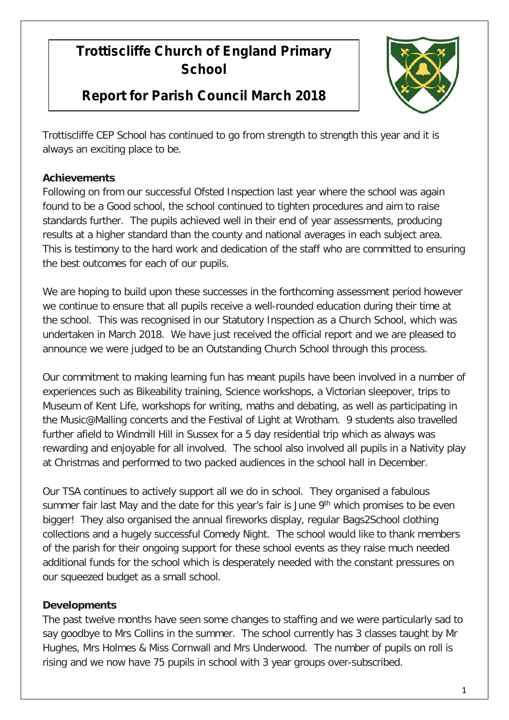## **Trottiscliffe Church of England Primary School**

## **Report for Parish Council March 2018**



Trottiscliffe CEP School has continued to go from strength to strength this year and it is always an exciting place to be.

## **Achievements**

Following on from our successful Ofsted Inspection last year where the school was again found to be a Good school, the school continued to tighten procedures and aim to raise standards further. The pupils achieved well in their end of year assessments, producing results at a higher standard than the county and national averages in each subject area. This is testimony to the hard work and dedication of the staff who are committed to ensuring the best outcomes for each of our pupils.

We are hoping to build upon these successes in the forthcoming assessment period however we continue to ensure that all pupils receive a well-rounded education during their time at the school. This was recognised in our Statutory Inspection as a Church School, which was undertaken in March 2018. We have just received the official report and we are pleased to announce we were judged to be an Outstanding Church School through this process.

Our commitment to making learning fun has meant pupils have been involved in a number of experiences such as Bikeability training, Science workshops, a Victorian sleepover, trips to Museum of Kent Life, workshops for writing, maths and debating, as well as participating in the Music@Malling concerts and the Festival of Light at Wrotham. 9 students also travelled further afield to Windmill Hill in Sussex for a 5 day residential trip which as always was rewarding and enjoyable for all involved. The school also involved all pupils in a Nativity play at Christmas and performed to two packed audiences in the school hall in December.

Our TSA continues to actively support all we do in school. They organised a fabulous summer fair last May and the date for this year's fair is June 9<sup>th</sup> which promises to be even bigger! They also organised the annual fireworks display, regular Bags2School clothing collections and a hugely successful Comedy Night. The school would like to thank members of the parish for their ongoing support for these school events as they raise much needed additional funds for the school which is desperately needed with the constant pressures on our squeezed budget as a small school.

## **Developments**

The past twelve months have seen some changes to staffing and we were particularly sad to say goodbye to Mrs Collins in the summer. The school currently has 3 classes taught by Mr Hughes, Mrs Holmes & Miss Cornwall and Mrs Underwood. The number of pupils on roll is rising and we now have 75 pupils in school with 3 year groups over-subscribed.